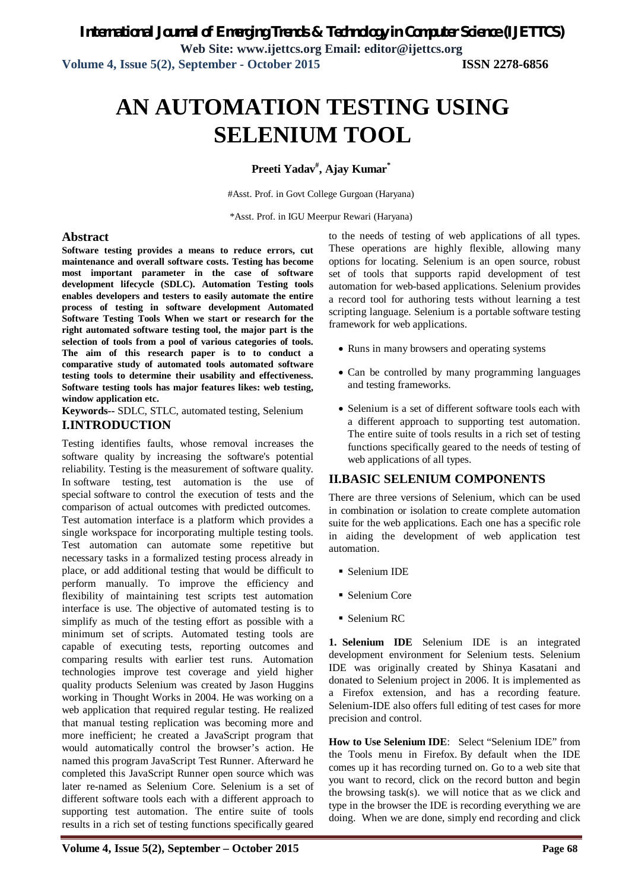# **AN AUTOMATION TESTING USING SELENIUM TOOL**

### **Preeti Yadav# , Ajay Kumar\***

#Asst. Prof. in Govt College Gurgoan (Haryana)

\*Asst. Prof. in IGU Meerpur Rewari (Haryana)

#### **Abstract**

**Software testing provides a means to reduce errors, cut maintenance and overall software costs. Testing has become most important parameter in the case of software development lifecycle (SDLC). Automation Testing tools enables developers and testers to easily automate the entire process of testing in software development Automated Software Testing Tools When we start or research for the right automated software testing tool, the major part is the selection of tools from a pool of various categories of tools. The aim of this research paper is to to conduct a comparative study of automated tools automated software testing tools to determine their usability and effectiveness. Software testing tools has major features likes: web testing, window application etc.**

**Keywords--** SDLC, STLC, automated testing, Selenium **I.INTRODUCTION** 

Testing identifies faults, whose removal increases the software quality by increasing the software's potential reliability. Testing is the measurement of software quality. In software testing, test automation is the use of special software to control the execution of tests and the comparison of actual outcomes with predicted outcomes. Test automation interface is a platform which provides a single workspace for incorporating multiple testing tools. Test automation can automate some repetitive but necessary tasks in a formalized testing process already in place, or add additional testing that would be difficult to perform manually. To improve the efficiency and flexibility of maintaining test scripts test automation interface is use. The objective of automated testing is to simplify as much of the testing effort as possible with a minimum set of scripts. Automated testing tools are capable of executing tests, reporting outcomes and comparing results with earlier test runs. Automation technologies improve test coverage and yield higher quality products Selenium was created by Jason Huggins working in Thought Works in 2004. He was working on a web application that required regular testing. He realized that manual testing replication was becoming more and more inefficient; he created a JavaScript program that would automatically control the browser's action. He named this program JavaScript Test Runner. Afterward he completed this JavaScript Runner open source which was later re-named as Selenium Core. Selenium is a set of different software tools each with a different approach to supporting test automation. The entire suite of tools results in a rich set of testing functions specifically geared

to the needs of testing of web applications of all types. These operations are highly flexible, allowing many options for locating. Selenium is an open source, robust set of tools that supports rapid development of test automation for web-based applications. Selenium provides a record tool for authoring tests without learning a test scripting language. Selenium is a portable software testing framework for web applications.

- Runs in many browsers and operating systems
- Can be controlled by many programming languages and testing frameworks.
- Selenium is a set of different software tools each with a different approach to supporting test automation. The entire suite of tools results in a rich set of testing functions specifically geared to the needs of testing of web applications of all types.

### **II.BASIC SELENIUM COMPONENTS**

There are three versions of Selenium, which can be used in combination or isolation to create complete automation suite for the web applications. Each one has a specific role in aiding the development of web application test automation.

- Selenium IDE
- Selenium Core
- Selenium RC

**1. Selenium IDE** Selenium IDE is an integrated development environment for Selenium tests. Selenium IDE was originally created by Shinya Kasatani and donated to Selenium project in 2006. It is implemented as a Firefox extension, and has a recording feature. Selenium-IDE also offers full editing of test cases for more precision and control.

**How to Use Selenium IDE**: Select "Selenium IDE" from the Tools menu in Firefox. By default when the IDE comes up it has recording turned on. Go to a web site that you want to record, click on the record button and begin the browsing task(s). we will notice that as we click and type in the browser the IDE is recording everything we are doing. When we are done, simply end recording and click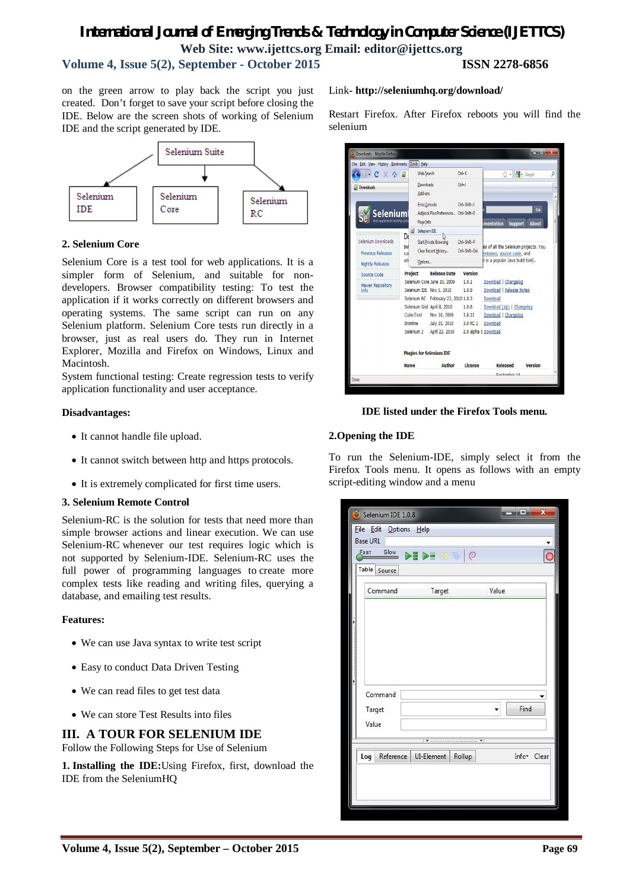### *International Journal of Emerging Trends & Technology in Computer Science (IJETTCS)* **Web Site: www.ijettcs.org Email: editor@ijettcs.org Volume 4, Issue 5(2), September - October 2015 ISSN 2278-6856**

on the green arrow to play back the script you just created. Don't forget to save your script before closing the IDE. Below are the screen shots of working of Selenium IDE and the script generated by IDE.



#### **2. Selenium Core**

Selenium Core is a test tool for web applications. It is a simpler form of Selenium, and suitable for nondevelopers. Browser compatibility testing: To test the application if it works correctly on different browsers and operating systems. The same script can run on any Selenium platform. Selenium Core tests run directly in a browser, just as real users do. They run in Internet Explorer, Mozilla and Firefox on Windows, Linux and Macintosh.

System functional testing: Create regression tests to verify application functionality and user acceptance.

#### **Disadvantages:**

- It cannot handle file upload.
- It cannot switch between http and https protocols.
- It is extremely complicated for first time users.

#### **3. Selenium Remote Control**

Selenium-RC is the solution for tests that need more than simple browser actions and linear execution. We can use Selenium-RC whenever our test requires logic which is not supported by Selenium-IDE. Selenium-RC uses the full power of programming languages to create more complex tests like reading and writing files, querying a database, and emailing test results.

#### **Features:**

- We can use Java syntax to write test script
- Easy to conduct Data Driven Testing
- We can read files to get test data
- We can store Test Results into files

### **III. A TOUR FOR SELENIUM IDE**

Follow the Following Steps for Use of Selenium

**1. Installing the IDE:**Using Firefox, first, download the IDE from the SeleniumHQ

#### Link**- http://seleniumhq.org/download/**

Restart Firefox. After Firefox reboots you will find the selenium

| Downloads - Mozilla Firefox                 |                      |                                                               |                                      |                                      | $\frac{1}{2}$      |
|---------------------------------------------|----------------------|---------------------------------------------------------------|--------------------------------------|--------------------------------------|--------------------|
| File Edit View History Bookmarks Tools Help |                      |                                                               |                                      |                                      |                    |
| C<br>$X \odot$                              | <b>Web Search</b>    |                                                               | $C$ trl+ $K$                         | 52                                   | $-$ Google         |
| <b>Downloads</b>                            | Downloads<br>Add-ons |                                                               | $Ctrl + J$                           |                                      |                    |
| Selenium<br>Web application testing syst    | Page Info            | <b>Error Console</b><br>Adblock Plus Preferences Ctrl+Shift+E | $C$ trl+Shift+J                      | mentation<br><b>Support</b>          | Go<br><b>About</b> |
|                                             | Ø<br>Selenium IDE    |                                                               |                                      |                                      |                    |
| Selenium Downloads                          | Do<br>Rel            | <b>Start Private Browsing</b><br>Clear Recent History         | $C$ trl+ $Shiff+P$<br>Ctrl+Shift+Del | es of all the Selenium projects. You |                    |
| <b>Previous Releases</b>                    | cai                  |                                                               |                                      | releases, source code, and           |                    |
| <b>Nightly Releases</b>                     | adı<br>Options       |                                                               |                                      | h is a popular Java build tool).     |                    |
| Source Code                                 | <b>Project</b>       | <b>Release Date</b>                                           | <b>Version</b>                       |                                      |                    |
| Maven Repository                            |                      | Selenium Core June 10, 2009                                   | 1.0.1                                | Download   Changelog                 |                    |
| Info                                        |                      | Selenium IDE Nov 5, 2010                                      | 1.0.8                                | Download   Release Notes             |                    |
|                                             |                      | Selenium RC February 23, 2010 1.0.3                           |                                      | Download                             |                    |
|                                             |                      | Selenium Grid April 8, 2010                                   | 1.0.6                                | Download (zip)   Changelog           |                    |
|                                             | CubicTest            | Nov 10, 2008                                                  | 1.8.11                               | Download   Changelog                 |                    |
|                                             | <b>Bromine</b>       | July 25, 2010                                                 | 3.0 RC 2                             | Download                             |                    |
|                                             |                      | Selenium 2 April 22, 2010                                     |                                      | 2.0 alpha 5 Download                 |                    |
|                                             |                      | <b>Plugins for Selenium IDE</b>                               |                                      |                                      |                    |
|                                             | <b>Name</b>          | <b>Author</b>                                                 | License                              | Released                             | <b>Version</b>     |
| Done                                        |                      |                                                               |                                      | Contambor 14                         |                    |

**IDE listed under the Firefox Tools menu.**

#### **2.Opening the IDE**

To run the Selenium-IDE, simply select it from the Firefox Tools menu. It opens as follows with an empty script-editing window and a menu

|                 | File Edit Options Help   | Selenium IDE 1.0.8                                                                                                                                                                                      |       | <b>CARD</b> | $\overline{\mathbf{x}}$ |
|-----------------|--------------------------|---------------------------------------------------------------------------------------------------------------------------------------------------------------------------------------------------------|-------|-------------|-------------------------|
| <b>Base URL</b> |                          |                                                                                                                                                                                                         |       |             |                         |
| Fast            | Slow                     | $\blacktriangleright$ $\blacktriangleright$ $\blacktriangleright$ $\blacktriangleright$ $\blacktriangleright$ $\blacktriangleright$ $\triangleleft$ $\bowtie$ $\blacktriangleright$ $\vartriangleright$ |       |             |                         |
| Table           | Source                   |                                                                                                                                                                                                         |       |             |                         |
|                 |                          |                                                                                                                                                                                                         |       |             |                         |
|                 | Command                  | Target                                                                                                                                                                                                  | Value |             |                         |
|                 |                          |                                                                                                                                                                                                         |       |             |                         |
| Value           | Command<br><b>Target</b> |                                                                                                                                                                                                         |       | Find        | ▼                       |
|                 |                          |                                                                                                                                                                                                         |       |             |                         |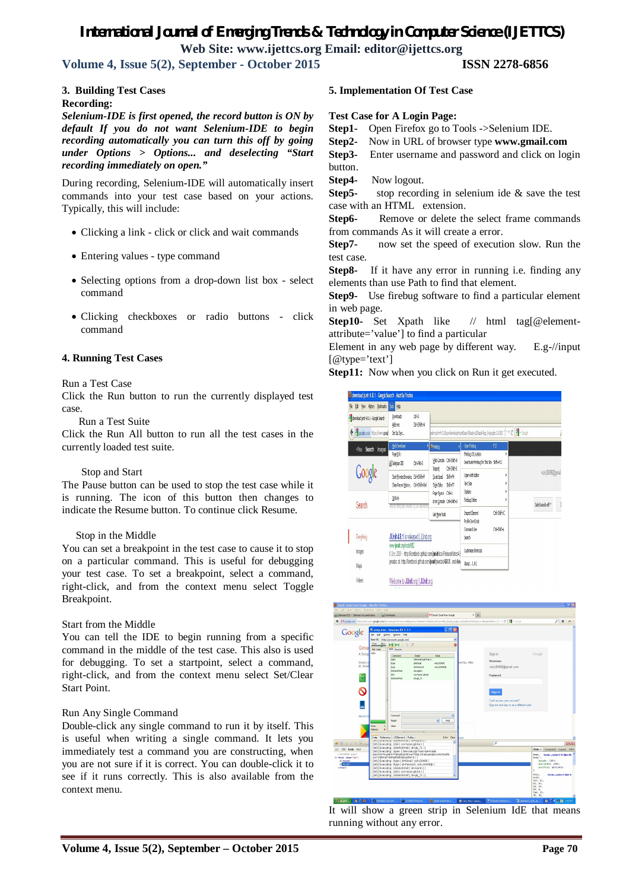## *International Journal of Emerging Trends & Technology in Computer Science (IJETTCS)*

**Web Site: www.ijettcs.org Email: editor@ijettcs.org** 

**Volume 4, Issue 5(2), September - October 2015 ISSN 2278-6856**

#### **3. Building Test Cases**

#### **Recording:**

*Selenium-IDE is first opened, the record button is ON by default If you do not want Selenium-IDE to begin recording automatically you can turn this off by going under Options > Options... and deselecting "Start recording immediately on open."*

During recording, Selenium-IDE will automatically insert commands into your test case based on your actions. Typically, this will include:

- Clicking a link click or click and wait commands
- Entering values type command
- Selecting options from a drop-down list box select command
- Clicking checkboxes or radio buttons click command

#### **4. Running Test Cases**

#### Run a Test Case

Click the Run button to run the currently displayed test case.

Run a Test Suite

Click the Run All button to run all the test cases in the currently loaded test suite.

#### Stop and Start

The Pause button can be used to stop the test case while it is running. The icon of this button then changes to indicate the Resume button. To continue click Resume.

#### Stop in the Middle

You can set a breakpoint in the test case to cause it to stop on a particular command. This is useful for debugging your test case. To set a breakpoint, select a command, right-click, and from the context menu select Toggle Breakpoint.

#### Start from the Middle

You can tell the IDE to begin running from a specific command in the middle of the test case. This also is used for debugging. To set a startpoint, select a command, right-click, and from the context menu select Set/Clear Start Point.

#### Run Any Single Command

Double-click any single command to run it by itself. This is useful when writing a single command. It lets you immediately test a command you are constructing, when you are not sure if it is correct. You can double-click it to see if it runs correctly. This is also available from the context menu.

#### **5. Implementation Of Test Case**

#### **Test Case for A Login Page:**

**Step1-** Open Firefox go to Tools ->Selenium IDE.

**Step2-** Now in URL of browser type **www.gmail.com**

**Step3-** Enter username and password and click on login button.

**Step4-** Now logout.

**Step5-** stop recording in selenium ide & save the test case with an HTML extension.

**Step6-** Remove or delete the select frame commands from commands As it will create a error.

**Step7-** now set the speed of execution slow. Run the test case.

**Step8-** If it have any error in running i.e. finding any elements than use Path to find that element.

**Step9-** Use firebug software to find a particular element in web page.

**Step10-** Set Xpath like // html tag[@elementattribute='value'] to find a particular

Element in any web page by different way. E.g-//input [@type='text']

**Step11:** Now when you click on Run it get executed.





It will show a green strip in Selenium IdE that means running without any error.